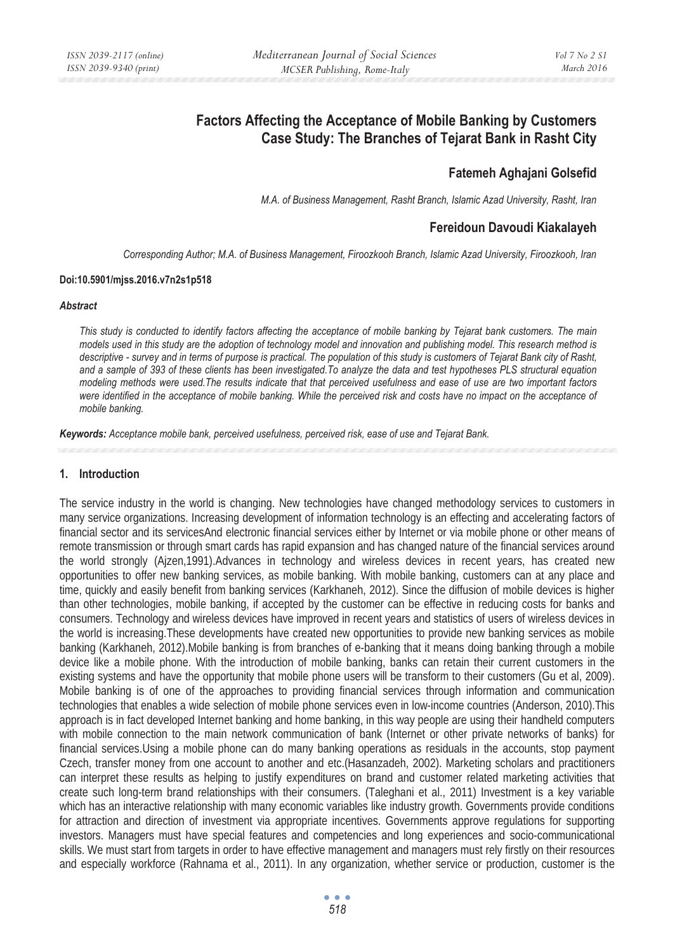# **Factors Affecting the Acceptance of Mobile Banking by Customers Case Study: The Branches of Tejarat Bank in Rasht City**

# **Fatemeh Aghajani Golsefid**

*M.A. of Business Management, Rasht Branch, Islamic Azad University, Rasht, Iran* 

## **Fereidoun Davoudi Kiakalayeh**

*Corresponding Author; M.A. of Business Management, Firoozkooh Branch, Islamic Azad University, Firoozkooh, Iran*

#### **Doi:10.5901/mjss.2016.v7n2s1p518**

#### *Abstract*

*This study is conducted to identify factors affecting the acceptance of mobile banking by Tejarat bank customers. The main models used in this study are the adoption of technology model and innovation and publishing model. This research method is descriptive - survey and in terms of purpose is practical. The population of this study is customers of Tejarat Bank city of Rasht, and a sample of 393 of these clients has been investigated.To analyze the data and test hypotheses PLS structural equation modeling methods were used.The results indicate that that perceived usefulness and ease of use are two important factors*  were identified in the acceptance of mobile banking. While the perceived risk and costs have no impact on the acceptance of *mobile banking.* 

*Keywords: Acceptance mobile bank, perceived usefulness, perceived risk, ease of use and Tejarat Bank.*

#### **1. Introduction**

The service industry in the world is changing. New technologies have changed methodology services to customers in many service organizations. Increasing development of information technology is an effecting and accelerating factors of financial sector and its servicesAnd electronic financial services either by Internet or via mobile phone or other means of remote transmission or through smart cards has rapid expansion and has changed nature of the financial services around the world strongly (Ajzen,1991).Advances in technology and wireless devices in recent years, has created new opportunities to offer new banking services, as mobile banking. With mobile banking, customers can at any place and time, quickly and easily benefit from banking services (Karkhaneh, 2012). Since the diffusion of mobile devices is higher than other technologies, mobile banking, if accepted by the customer can be effective in reducing costs for banks and consumers. Technology and wireless devices have improved in recent years and statistics of users of wireless devices in the world is increasing.These developments have created new opportunities to provide new banking services as mobile banking (Karkhaneh, 2012).Mobile banking is from branches of e-banking that it means doing banking through a mobile device like a mobile phone. With the introduction of mobile banking, banks can retain their current customers in the existing systems and have the opportunity that mobile phone users will be transform to their customers (Gu et al, 2009). Mobile banking is of one of the approaches to providing financial services through information and communication technologies that enables a wide selection of mobile phone services even in low-income countries (Anderson, 2010).This approach is in fact developed Internet banking and home banking, in this way people are using their handheld computers with mobile connection to the main network communication of bank (Internet or other private networks of banks) for financial services.Using a mobile phone can do many banking operations as residuals in the accounts, stop payment Czech, transfer money from one account to another and etc.(Hasanzadeh, 2002). Marketing scholars and practitioners can interpret these results as helping to justify expenditures on brand and customer related marketing activities that create such long-term brand relationships with their consumers. (Taleghani et al., 2011) Investment is a key variable which has an interactive relationship with many economic variables like industry growth. Governments provide conditions for attraction and direction of investment via appropriate incentives. Governments approve regulations for supporting investors. Managers must have special features and competencies and long experiences and socio-communicational skills. We must start from targets in order to have effective management and managers must rely firstly on their resources and especially workforce (Rahnama et al., 2011). In any organization, whether service or production, customer is the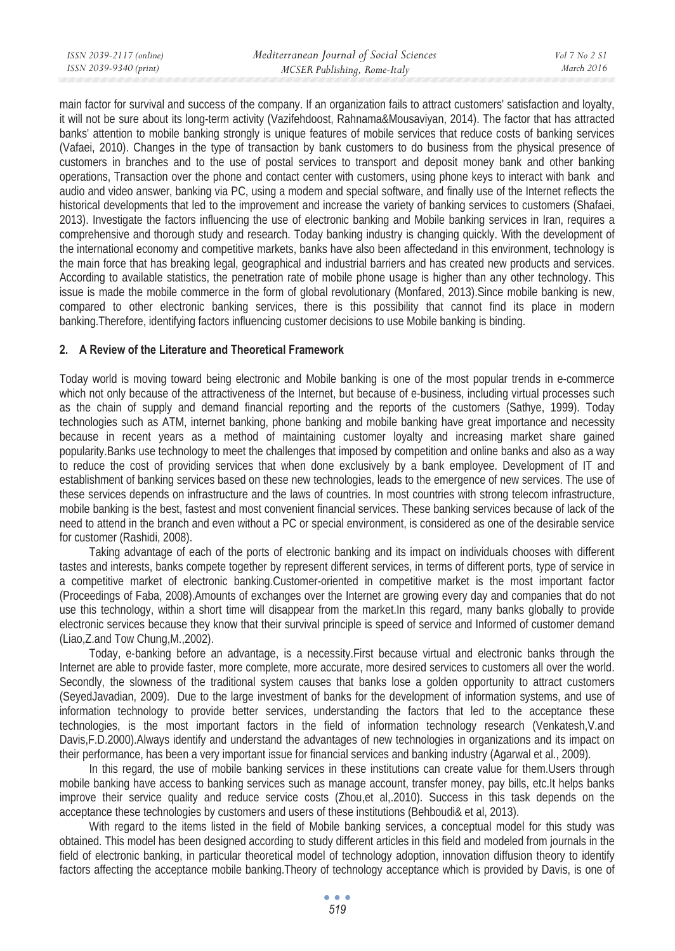main factor for survival and success of the company. If an organization fails to attract customers' satisfaction and loyalty, it will not be sure about its long-term activity (Vazifehdoost, Rahnama&Mousaviyan, 2014). The factor that has attracted banks' attention to mobile banking strongly is unique features of mobile services that reduce costs of banking services (Vafaei, 2010). Changes in the type of transaction by bank customers to do business from the physical presence of customers in branches and to the use of postal services to transport and deposit money bank and other banking operations, Transaction over the phone and contact center with customers, using phone keys to interact with bank and audio and video answer, banking via PC, using a modem and special software, and finally use of the Internet reflects the historical developments that led to the improvement and increase the variety of banking services to customers (Shafaei, 2013). Investigate the factors influencing the use of electronic banking and Mobile banking services in Iran, requires a comprehensive and thorough study and research. Today banking industry is changing quickly. With the development of the international economy and competitive markets, banks have also been affectedand in this environment, technology is the main force that has breaking legal, geographical and industrial barriers and has created new products and services. According to available statistics, the penetration rate of mobile phone usage is higher than any other technology. This issue is made the mobile commerce in the form of global revolutionary (Monfared, 2013).Since mobile banking is new, compared to other electronic banking services, there is this possibility that cannot find its place in modern banking.Therefore, identifying factors influencing customer decisions to use Mobile banking is binding.

### **2. A Review of the Literature and Theoretical Framework**

Today world is moving toward being electronic and Mobile banking is one of the most popular trends in e-commerce which not only because of the attractiveness of the Internet, but because of e-business, including virtual processes such as the chain of supply and demand financial reporting and the reports of the customers (Sathye, 1999). Today technologies such as ATM, internet banking, phone banking and mobile banking have great importance and necessity because in recent years as a method of maintaining customer loyalty and increasing market share gained popularity.Banks use technology to meet the challenges that imposed by competition and online banks and also as a way to reduce the cost of providing services that when done exclusively by a bank employee. Development of IT and establishment of banking services based on these new technologies, leads to the emergence of new services. The use of these services depends on infrastructure and the laws of countries. In most countries with strong telecom infrastructure, mobile banking is the best, fastest and most convenient financial services. These banking services because of lack of the need to attend in the branch and even without a PC or special environment, is considered as one of the desirable service for customer (Rashidi, 2008).

Taking advantage of each of the ports of electronic banking and its impact on individuals chooses with different tastes and interests, banks compete together by represent different services, in terms of different ports, type of service in a competitive market of electronic banking.Customer-oriented in competitive market is the most important factor (Proceedings of Faba, 2008).Amounts of exchanges over the Internet are growing every day and companies that do not use this technology, within a short time will disappear from the market.In this regard, many banks globally to provide electronic services because they know that their survival principle is speed of service and Informed of customer demand (Liao,Z.and Tow Chung,M.,2002).

Today, e-banking before an advantage, is a necessity.First because virtual and electronic banks through the Internet are able to provide faster, more complete, more accurate, more desired services to customers all over the world. Secondly, the slowness of the traditional system causes that banks lose a golden opportunity to attract customers (SeyedJavadian, 2009). Due to the large investment of banks for the development of information systems, and use of information technology to provide better services, understanding the factors that led to the acceptance these technologies, is the most important factors in the field of information technology research (Venkatesh, V.and Davis,F.D.2000).Always identify and understand the advantages of new technologies in organizations and its impact on their performance, has been a very important issue for financial services and banking industry (Agarwal et al., 2009).

In this regard, the use of mobile banking services in these institutions can create value for them.Users through mobile banking have access to banking services such as manage account, transfer money, pay bills, etc.It helps banks improve their service quality and reduce service costs (Zhou,et al,.2010). Success in this task depends on the acceptance these technologies by customers and users of these institutions (Behboudi& et al, 2013).

With regard to the items listed in the field of Mobile banking services, a conceptual model for this study was obtained. This model has been designed according to study different articles in this field and modeled from journals in the field of electronic banking, in particular theoretical model of technology adoption, innovation diffusion theory to identify factors affecting the acceptance mobile banking.Theory of technology acceptance which is provided by Davis, is one of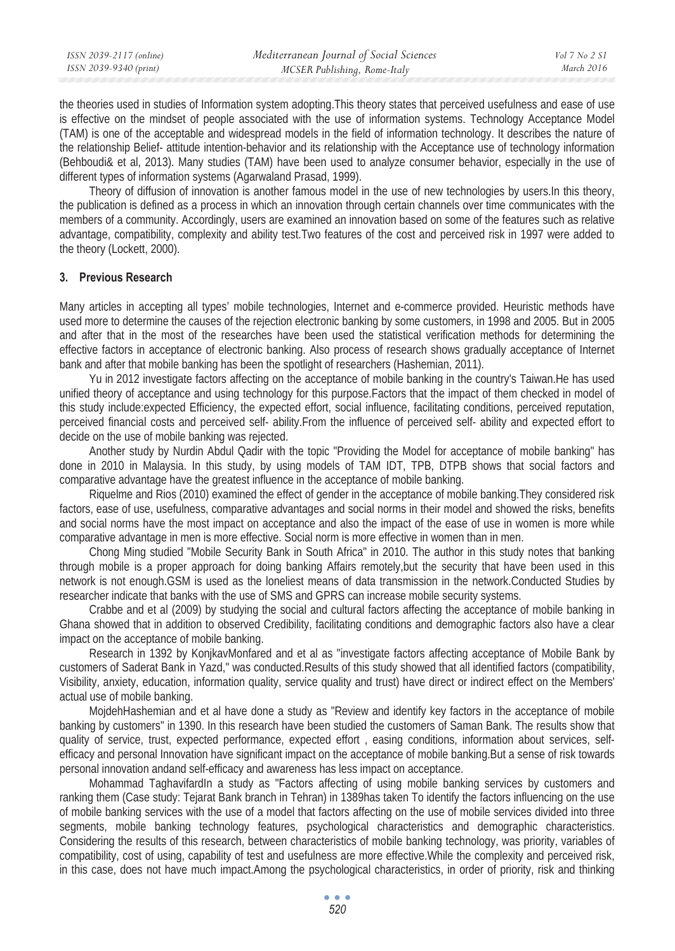| ISSN 2039-2117 (online) | Mediterranean Journal of Social Sciences | Vol 7 No 2 S1 |
|-------------------------|------------------------------------------|---------------|
| ISSN 2039-9340 (print)  | MCSER Publishing, Rome-Italy             | March 2016    |

the theories used in studies of Information system adopting.This theory states that perceived usefulness and ease of use is effective on the mindset of people associated with the use of information systems. Technology Acceptance Model (TAM) is one of the acceptable and widespread models in the field of information technology. It describes the nature of the relationship Belief- attitude intention-behavior and its relationship with the Acceptance use of technology information (Behboudi& et al, 2013). Many studies (TAM) have been used to analyze consumer behavior, especially in the use of different types of information systems (Agarwaland Prasad, 1999).

Theory of diffusion of innovation is another famous model in the use of new technologies by users.In this theory, the publication is defined as a process in which an innovation through certain channels over time communicates with the members of a community. Accordingly, users are examined an innovation based on some of the features such as relative advantage, compatibility, complexity and ability test.Two features of the cost and perceived risk in 1997 were added to the theory (Lockett, 2000).

### **3. Previous Research**

Many articles in accepting all types' mobile technologies, Internet and e-commerce provided. Heuristic methods have used more to determine the causes of the rejection electronic banking by some customers, in 1998 and 2005. But in 2005 and after that in the most of the researches have been used the statistical verification methods for determining the effective factors in acceptance of electronic banking. Also process of research shows gradually acceptance of Internet bank and after that mobile banking has been the spotlight of researchers (Hashemian, 2011).

Yu in 2012 investigate factors affecting on the acceptance of mobile banking in the country's Taiwan.He has used unified theory of acceptance and using technology for this purpose.Factors that the impact of them checked in model of this study include:expected Efficiency, the expected effort, social influence, facilitating conditions, perceived reputation, perceived financial costs and perceived self- ability.From the influence of perceived self- ability and expected effort to decide on the use of mobile banking was rejected.

Another study by Nurdin Abdul Qadir with the topic "Providing the Model for acceptance of mobile banking" has done in 2010 in Malaysia. In this study, by using models of TAM IDT, TPB, DTPB shows that social factors and comparative advantage have the greatest influence in the acceptance of mobile banking.

Riquelme and Rios (2010) examined the effect of gender in the acceptance of mobile banking.They considered risk factors, ease of use, usefulness, comparative advantages and social norms in their model and showed the risks, benefits and social norms have the most impact on acceptance and also the impact of the ease of use in women is more while comparative advantage in men is more effective. Social norm is more effective in women than in men.

Chong Ming studied "Mobile Security Bank in South Africa" in 2010. The author in this study notes that banking through mobile is a proper approach for doing banking Affairs remotely,but the security that have been used in this network is not enough.GSM is used as the loneliest means of data transmission in the network.Conducted Studies by researcher indicate that banks with the use of SMS and GPRS can increase mobile security systems.

Crabbe and et al (2009) by studying the social and cultural factors affecting the acceptance of mobile banking in Ghana showed that in addition to observed Credibility, facilitating conditions and demographic factors also have a clear impact on the acceptance of mobile banking.

Research in 1392 by KonjkavMonfared and et al as "investigate factors affecting acceptance of Mobile Bank by customers of Saderat Bank in Yazd," was conducted.Results of this study showed that all identified factors (compatibility, Visibility, anxiety, education, information quality, service quality and trust) have direct or indirect effect on the Members' actual use of mobile banking.

MojdehHashemian and et al have done a study as "Review and identify key factors in the acceptance of mobile banking by customers" in 1390. In this research have been studied the customers of Saman Bank. The results show that quality of service, trust, expected performance, expected effort , easing conditions, information about services, selfefficacy and personal Innovation have significant impact on the acceptance of mobile banking.But a sense of risk towards personal innovation andand self-efficacy and awareness has less impact on acceptance.

Mohammad TaghavifardIn a study as "Factors affecting of using mobile banking services by customers and ranking them (Case study: Tejarat Bank branch in Tehran) in 1389has taken To identify the factors influencing on the use of mobile banking services with the use of a model that factors affecting on the use of mobile services divided into three segments, mobile banking technology features, psychological characteristics and demographic characteristics. Considering the results of this research, between characteristics of mobile banking technology, was priority, variables of compatibility, cost of using, capability of test and usefulness are more effective.While the complexity and perceived risk, in this case, does not have much impact.Among the psychological characteristics, in order of priority, risk and thinking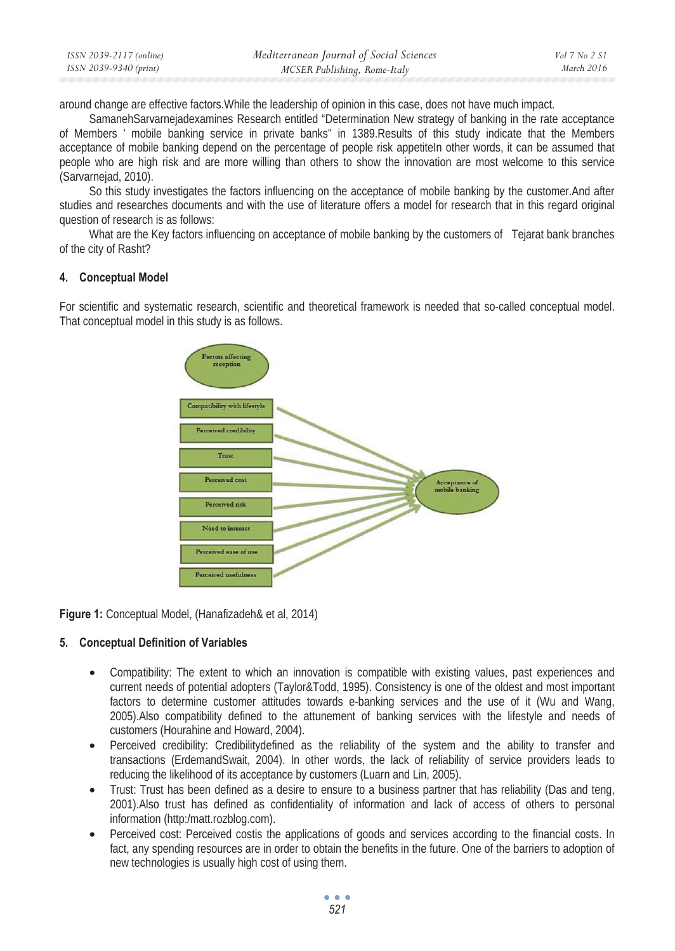| ISSN 2039-2117 (online) | Mediterranean Journal of Social Sciences | Vol 7 No 2 S1 |
|-------------------------|------------------------------------------|---------------|
| ISSN 2039-9340 (print)  | MCSER Publishing, Rome-Italy             | March 2016    |

around change are effective factors.While the leadership of opinion in this case, does not have much impact.

SamanehSarvarnejadexamines Research entitled "Determination New strategy of banking in the rate acceptance of Members ' mobile banking service in private banks" in 1389.Results of this study indicate that the Members acceptance of mobile banking depend on the percentage of people risk appetiteIn other words, it can be assumed that people who are high risk and are more willing than others to show the innovation are most welcome to this service (Sarvarnejad, 2010).

So this study investigates the factors influencing on the acceptance of mobile banking by the customer.And after studies and researches documents and with the use of literature offers a model for research that in this regard original question of research is as follows:

What are the Key factors influencing on acceptance of mobile banking by the customers of Tejarat bank branches of the city of Rasht?

### **4. Conceptual Model**

For scientific and systematic research, scientific and theoretical framework is needed that so-called conceptual model. That conceptual model in this study is as follows.



**Figure 1:** Conceptual Model, (Hanafizadeh& et al, 2014)

### **5. Conceptual Definition of Variables**

- Compatibility: The extent to which an innovation is compatible with existing values, past experiences and current needs of potential adopters (Taylor&Todd, 1995). Consistency is one of the oldest and most important factors to determine customer attitudes towards e-banking services and the use of it (Wu and Wang, 2005).Also compatibility defined to the attunement of banking services with the lifestyle and needs of customers (Hourahine and Howard, 2004).
- Perceived credibility: Credibilitydefined as the reliability of the system and the ability to transfer and transactions (ErdemandSwait, 2004). In other words, the lack of reliability of service providers leads to reducing the likelihood of its acceptance by customers (Luarn and Lin, 2005).
- Trust: Trust has been defined as a desire to ensure to a business partner that has reliability (Das and teng, 2001).Also trust has defined as confidentiality of information and lack of access of others to personal information (http:/matt.rozblog.com).
- Perceived cost: Perceived costis the applications of goods and services according to the financial costs. In fact, any spending resources are in order to obtain the benefits in the future. One of the barriers to adoption of new technologies is usually high cost of using them.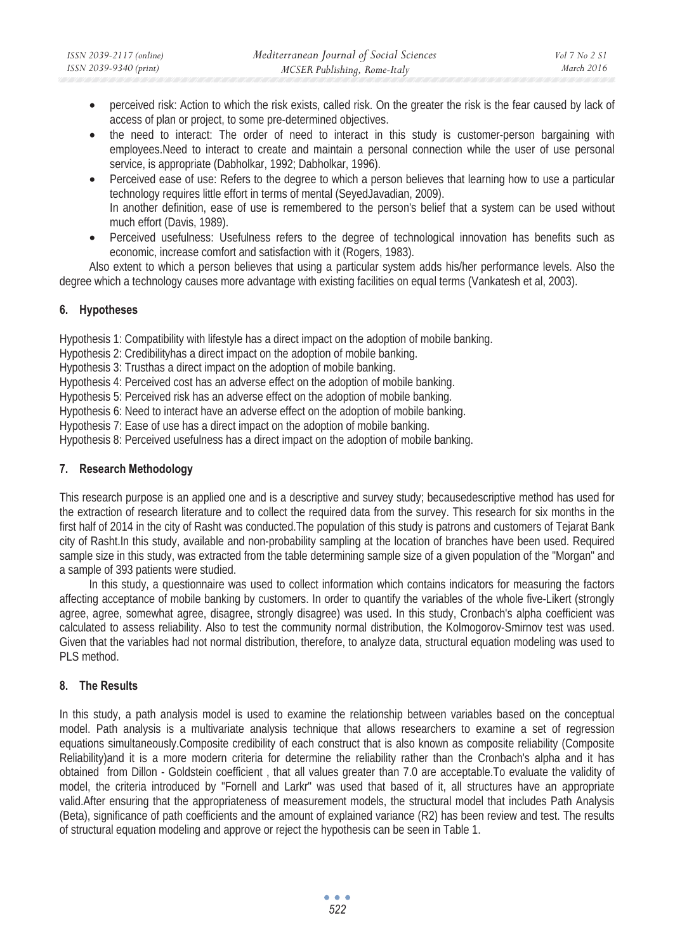- perceived risk: Action to which the risk exists, called risk. On the greater the risk is the fear caused by lack of access of plan or project, to some pre-determined objectives.
- the need to interact: The order of need to interact in this study is customer-person bargaining with employees.Need to interact to create and maintain a personal connection while the user of use personal service, is appropriate (Dabholkar, 1992; Dabholkar, 1996).
- Perceived ease of use: Refers to the degree to which a person believes that learning how to use a particular technology requires little effort in terms of mental (SeyedJavadian, 2009). In another definition, ease of use is remembered to the person's belief that a system can be used without much effort (Davis, 1989).
- Perceived usefulness: Usefulness refers to the degree of technological innovation has benefits such as economic, increase comfort and satisfaction with it (Rogers, 1983).

Also extent to which a person believes that using a particular system adds his/her performance levels. Also the degree which a technology causes more advantage with existing facilities on equal terms (Vankatesh et al, 2003).

# **6. Hypotheses**

Hypothesis 1: Compatibility with lifestyle has a direct impact on the adoption of mobile banking.

Hypothesis 2: Credibilityhas a direct impact on the adoption of mobile banking.

Hypothesis 3: Trusthas a direct impact on the adoption of mobile banking.

Hypothesis 4: Perceived cost has an adverse effect on the adoption of mobile banking.

Hypothesis 5: Perceived risk has an adverse effect on the adoption of mobile banking.

Hypothesis 6: Need to interact have an adverse effect on the adoption of mobile banking.

Hypothesis 7: Ease of use has a direct impact on the adoption of mobile banking.

Hypothesis 8: Perceived usefulness has a direct impact on the adoption of mobile banking.

# **7. Research Methodology**

This research purpose is an applied one and is a descriptive and survey study; becausedescriptive method has used for the extraction of research literature and to collect the required data from the survey. This research for six months in the first half of 2014 in the city of Rasht was conducted.The population of this study is patrons and customers of Tejarat Bank city of Rasht.In this study, available and non-probability sampling at the location of branches have been used. Required sample size in this study, was extracted from the table determining sample size of a given population of the "Morgan" and a sample of 393 patients were studied.

In this study, a questionnaire was used to collect information which contains indicators for measuring the factors affecting acceptance of mobile banking by customers. In order to quantify the variables of the whole five-Likert (strongly agree, agree, somewhat agree, disagree, strongly disagree) was used. In this study, Cronbach's alpha coefficient was calculated to assess reliability. Also to test the community normal distribution, the Kolmogorov-Smirnov test was used. Given that the variables had not normal distribution, therefore, to analyze data, structural equation modeling was used to PLS method.

# **8. The Results**

In this study, a path analysis model is used to examine the relationship between variables based on the conceptual model. Path analysis is a multivariate analysis technique that allows researchers to examine a set of regression equations simultaneously.Composite credibility of each construct that is also known as composite reliability (Composite Reliability)and it is a more modern criteria for determine the reliability rather than the Cronbach's alpha and it has obtained from Dillon - Goldstein coefficient , that all values greater than 7.0 are acceptable.To evaluate the validity of model, the criteria introduced by "Fornell and Larkr" was used that based of it, all structures have an appropriate valid.After ensuring that the appropriateness of measurement models, the structural model that includes Path Analysis (Beta), significance of path coefficients and the amount of explained variance (R2) has been review and test. The results of structural equation modeling and approve or reject the hypothesis can be seen in Table 1.

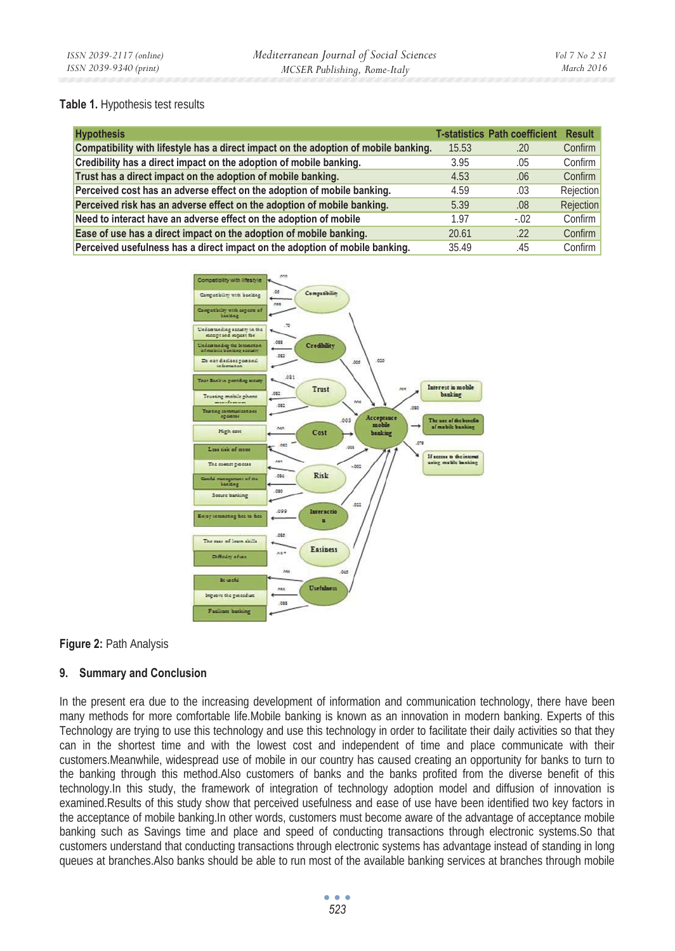#### **Table 1.** Hypothesis test results

| <b>Hypothesis</b>                                                                   |       | <b>T-statistics Path coefficient</b> | <b>Result</b> |
|-------------------------------------------------------------------------------------|-------|--------------------------------------|---------------|
| Compatibility with lifestyle has a direct impact on the adoption of mobile banking. | 15.53 | .20                                  | Confirm       |
| Credibility has a direct impact on the adoption of mobile banking.                  | 3.95  | .05                                  | Confirm       |
| Trust has a direct impact on the adoption of mobile banking.                        | 4.53  | .06                                  | Confirm       |
| Perceived cost has an adverse effect on the adoption of mobile banking.             | 4.59  | .03                                  | Rejection     |
| Perceived risk has an adverse effect on the adoption of mobile banking.             | 5.39  | .08                                  | Rejection     |
| Need to interact have an adverse effect on the adoption of mobile                   | 1.97  | $-.02$                               | Confirm       |
| Ease of use has a direct impact on the adoption of mobile banking.                  | 20.61 | .22                                  | Confirm       |
| Perceived usefulness has a direct impact on the adoption of mobile banking.         | 35.49 | .45                                  | Confirm       |



### **Figure 2:** Path Analysis

### **9. Summary and Conclusion**

In the present era due to the increasing development of information and communication technology, there have been many methods for more comfortable life.Mobile banking is known as an innovation in modern banking. Experts of this Technology are trying to use this technology and use this technology in order to facilitate their daily activities so that they can in the shortest time and with the lowest cost and independent of time and place communicate with their customers.Meanwhile, widespread use of mobile in our country has caused creating an opportunity for banks to turn to the banking through this method.Also customers of banks and the banks profited from the diverse benefit of this technology.In this study, the framework of integration of technology adoption model and diffusion of innovation is examined.Results of this study show that perceived usefulness and ease of use have been identified two key factors in the acceptance of mobile banking.In other words, customers must become aware of the advantage of acceptance mobile banking such as Savings time and place and speed of conducting transactions through electronic systems.So that customers understand that conducting transactions through electronic systems has advantage instead of standing in long queues at branches.Also banks should be able to run most of the available banking services at branches through mobile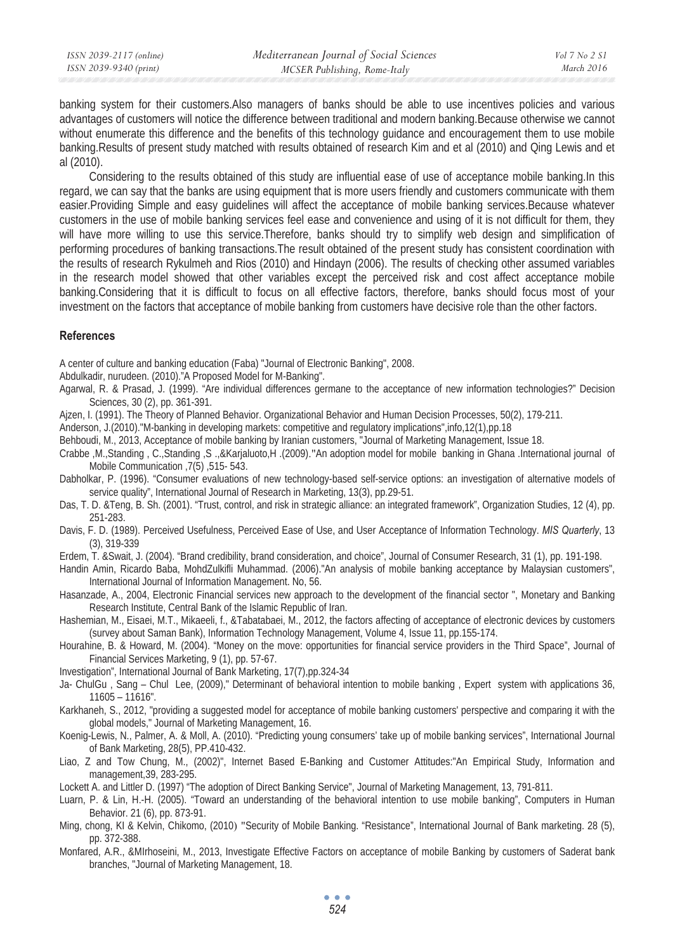banking system for their customers.Also managers of banks should be able to use incentives policies and various advantages of customers will notice the difference between traditional and modern banking.Because otherwise we cannot without enumerate this difference and the benefits of this technology guidance and encouragement them to use mobile banking.Results of present study matched with results obtained of research Kim and et al (2010) and Qing Lewis and et al (2010).

Considering to the results obtained of this study are influential ease of use of acceptance mobile banking.In this regard, we can say that the banks are using equipment that is more users friendly and customers communicate with them easier.Providing Simple and easy guidelines will affect the acceptance of mobile banking services.Because whatever customers in the use of mobile banking services feel ease and convenience and using of it is not difficult for them, they will have more willing to use this service.Therefore, banks should try to simplify web design and simplification of performing procedures of banking transactions.The result obtained of the present study has consistent coordination with the results of research Rykulmeh and Rios (2010) and Hindayn (2006). The results of checking other assumed variables in the research model showed that other variables except the perceived risk and cost affect acceptance mobile banking.Considering that it is difficult to focus on all effective factors, therefore, banks should focus most of your investment on the factors that acceptance of mobile banking from customers have decisive role than the other factors.

#### **References**

A center of culture and banking education (Faba) "Journal of Electronic Banking", 2008.

Abdulkadir, nurudeen. (2010)."A Proposed Model for M-Banking".

- Agarwal, R. & Prasad, J. (1999). "Are individual differences germane to the acceptance of new information technologies?" Decision Sciences, 30 (2), pp. 361-391.
- Ajzen, I. (1991). The Theory of Planned Behavior. Organizational Behavior and Human Decision Processes, 50(2), 179-211.
- Anderson, J.(2010)."M-banking in developing markets: competitive and regulatory implications",info,12(1),pp.18
- Behboudi, M., 2013, Acceptance of mobile banking by Iranian customers, "Journal of Marketing Management, Issue 18.
- Crabbe ,M.,Standing , C.,Standing ,S .,&Karjaluoto,H .(2009)."An adoption model for mobile banking in Ghana .International journal of Mobile Communication ,7(5) ,515- 543.
- Dabholkar, P. (1996). "Consumer evaluations of new technology-based self-service options: an investigation of alternative models of service quality", International Journal of Research in Marketing, 13(3), pp.29-51.
- Das, T. D. &Teng, B. Sh. (2001). "Trust, control, and risk in strategic alliance: an integrated framework", Organization Studies, 12 (4), pp. 251-283.
- Davis, F. D. (1989). Perceived Usefulness, Perceived Ease of Use, and User Acceptance of Information Technology. *MIS Quarterly*, 13 (3), 319-339

Erdem, T. &Swait, J. (2004). "Brand credibility, brand consideration, and choice", Journal of Consumer Research, 31 (1), pp. 191-198.

Handin Amin, Ricardo Baba, MohdZulkifli Muhammad. (2006)."An analysis of mobile banking acceptance by Malaysian customers", International Journal of Information Management. No, 56.

- Hasanzade, A., 2004, Electronic Financial services new approach to the development of the financial sector ", Monetary and Banking Research Institute, Central Bank of the Islamic Republic of Iran.
- Hashemian, M., Eisaei, M.T., Mikaeeli, f., &Tabatabaei, M., 2012, the factors affecting of acceptance of electronic devices by customers (survey about Saman Bank), Information Technology Management, Volume 4, Issue 11, pp.155-174.
- Hourahine, B. & Howard, M. (2004). "Money on the move: opportunities for financial service providers in the Third Space", Journal of Financial Services Marketing, 9 (1), pp. 57-67.
- Investigation", International Journal of Bank Marketing, 17(7),pp.324-34
- Ja- ChulGu , Sang Chul Lee, (2009)," Determinant of behavioral intention to mobile banking , Expert system with applications 36, 11605 – 11616".
- Karkhaneh, S., 2012, "providing a suggested model for acceptance of mobile banking customers' perspective and comparing it with the global models," Journal of Marketing Management, 16.
- Koenig-Lewis, N., Palmer, A. & Moll, A. (2010). "Predicting young consumers' take up of mobile banking services", International Journal of Bank Marketing, 28(5), PP.410-432.
- Liao, Z and Tow Chung, M., (2002)", Internet Based E-Banking and Customer Attitudes:"An Empirical Study, Information and management,39, 283-295.
- Lockett A. and Littler D. (1997) "The adoption of Direct Banking Service", Journal of Marketing Management, 13, 791-811.
- Luarn, P. & Lin, H.-H. (2005). "Toward an understanding of the behavioral intention to use mobile banking", Computers in Human Behavior. 21 (6), pp. 873-91.
- Ming, chong, KI & Kelvin, Chikomo, (2010) "Security of Mobile Banking. "Resistance", International Journal of Bank marketing. 28 (5), pp. 372-388.
- Monfared, A.R., &MIrhoseini, M., 2013, Investigate Effective Factors on acceptance of mobile Banking by customers of Saderat bank branches, "Journal of Marketing Management, 18.